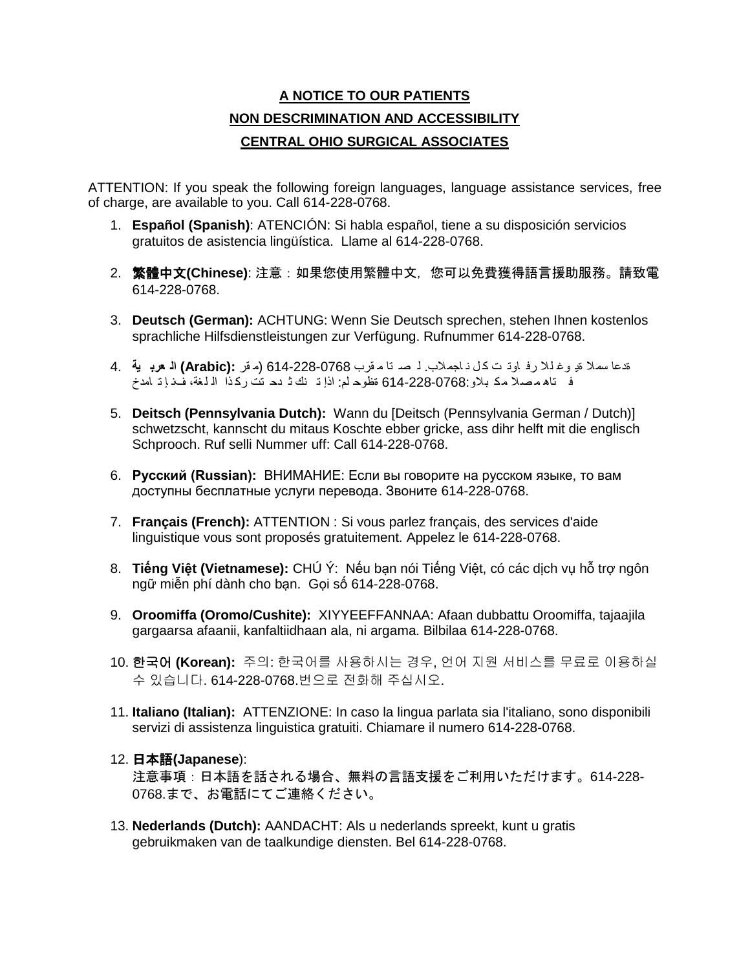## **A NOTICE TO OUR PATIENTS NON DESCRIMINATION AND ACCESSIBILITY CENTRAL OHIO SURGICAL ASSOCIATES**

ATTENTION: If you speak the following foreign languages, language assistance services, free of charge, are available to you. Call 614-228-0768.

- 1. **Español (Spanish)**: ATENCIÓN: Si habla español, tiene a su disposición servicios gratuitos de asistencia lingüística. Llame al 614-228-0768.
- 2. 繁體中文**(Chinese)**: 注意:如果您使用繁體中文,您可以免費獲得語言援助服務。請致電 614-228-0768.
- 3. **Deutsch (German):** ACHTUNG: Wenn Sie Deutsch sprechen, stehen Ihnen kostenlos sprachliche Hilfsdienstleistungen zur Verfügung. Rufnummer 614-228-0768.
- ةدعا سمال ةی وغ لال رف اوت ت ك ل ن اجمالب. ل ص تا م قرب 614-228-0768 (م قر **:(Arabic (ال عرب ية** 4. ف تاھ م صال مك بالو614-228-0768: ةظوح لم: اذإ ت نك ث دح تت رك ذا ال لغة، فن إ ت امدخ
- 5. **Deitsch (Pennsylvania Dutch):** Wann du [Deitsch (Pennsylvania German / Dutch)] schwetzscht, kannscht du mitaus Koschte ebber gricke, ass dihr helft mit die englisch Schprooch. Ruf selli Nummer uff: Call 614-228-0768.
- 6. **Русский (Russian):** ВНИМАНИЕ: Если вы говорите на русском языке, то вам доступны бесплатные услуги перевода. Звоните 614-228-0768.
- 7. **Français (French):** ATTENTION : Si vous parlez français, des services d'aide linguistique vous sont proposés gratuitement. Appelez le 614-228-0768.
- 8. **Tiếng Việt (Vietnamese):** CHÚ Ý: Nếu bạn nói Tiếng Việt, có các dịch vụ hỗ trợ ngôn ngữ miễn phí dành cho bạn. Gọi số 614-228-0768.
- 9. **Oroomiffa (Oromo/Cushite):** XIYYEEFFANNAA: Afaan dubbattu Oroomiffa, tajaajila gargaarsa afaanii, kanfaltiidhaan ala, ni argama. Bilbilaa 614-228-0768.
- 10. 한국어 **(Korean):** 주의: 한국어를 사용하시는 경우, 언어 지원 서비스를 무료로 이용하실 수 있습니다. 614-228-0768.번으로 전화해 주십시오.
- 11. **Italiano (Italian):** ATTENZIONE: In caso la lingua parlata sia l'italiano, sono disponibili servizi di assistenza linguistica gratuiti. Chiamare il numero 614-228-0768.

## 12. 日本語**(Japanese**):

注意事項:日本語を話される場合、無料の言語支援をご利用いただけます。614-228- 0768.まで、お電話にてご連絡ください。

13. **Nederlands (Dutch):** AANDACHT: Als u nederlands spreekt, kunt u gratis gebruikmaken van de taalkundige diensten. Bel 614-228-0768.